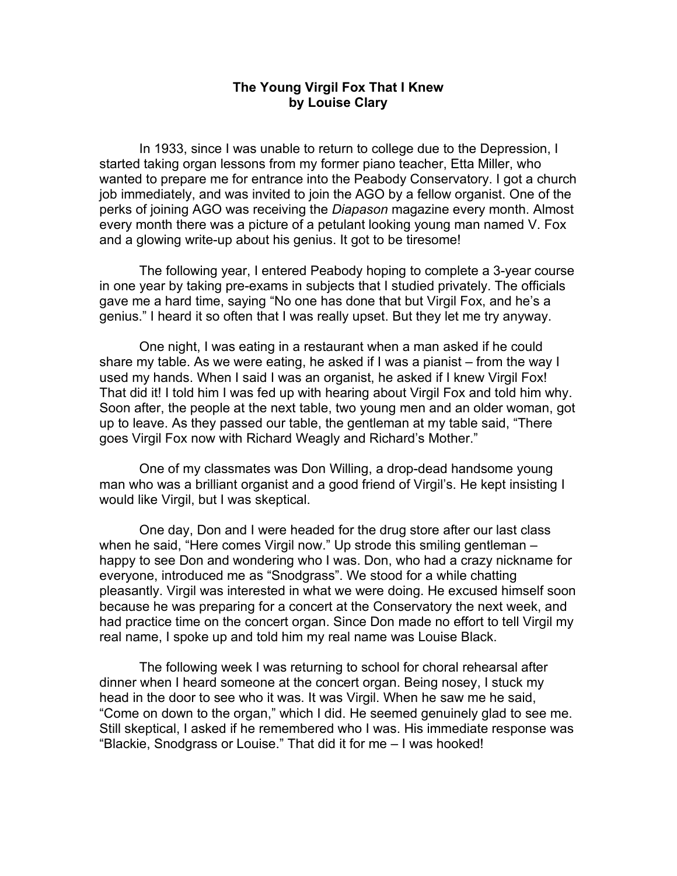## **The Young Virgil Fox That I Knew by Louise Clary**

In 1933, since I was unable to return to college due to the Depression, I started taking organ lessons from my former piano teacher, Etta Miller, who wanted to prepare me for entrance into the Peabody Conservatory. I got a church job immediately, and was invited to join the AGO by a fellow organist. One of the perks of joining AGO was receiving the *Diapason* magazine every month. Almost every month there was a picture of a petulant looking young man named V. Fox and a glowing write-up about his genius. It got to be tiresome!

The following year, I entered Peabody hoping to complete a 3-year course in one year by taking pre-exams in subjects that I studied privately. The officials gave me a hard time, saying "No one has done that but Virgil Fox, and he's a genius." I heard it so often that I was really upset. But they let me try anyway.

One night, I was eating in a restaurant when a man asked if he could share my table. As we were eating, he asked if I was a pianist – from the way I used my hands. When I said I was an organist, he asked if I knew Virgil Fox! That did it! I told him I was fed up with hearing about Virgil Fox and told him why. Soon after, the people at the next table, two young men and an older woman, got up to leave. As they passed our table, the gentleman at my table said, "There goes Virgil Fox now with Richard Weagly and Richard's Mother."

One of my classmates was Don Willing, a drop-dead handsome young man who was a brilliant organist and a good friend of Virgil's. He kept insisting I would like Virgil, but I was skeptical.

One day, Don and I were headed for the drug store after our last class when he said, "Here comes Virgil now." Up strode this smiling gentleman – happy to see Don and wondering who I was. Don, who had a crazy nickname for everyone, introduced me as "Snodgrass". We stood for a while chatting pleasantly. Virgil was interested in what we were doing. He excused himself soon because he was preparing for a concert at the Conservatory the next week, and had practice time on the concert organ. Since Don made no effort to tell Virgil my real name, I spoke up and told him my real name was Louise Black.

The following week I was returning to school for choral rehearsal after dinner when I heard someone at the concert organ. Being nosey, I stuck my head in the door to see who it was. It was Virgil. When he saw me he said, "Come on down to the organ," which I did. He seemed genuinely glad to see me. Still skeptical, I asked if he remembered who I was. His immediate response was "Blackie, Snodgrass or Louise." That did it for me – I was hooked!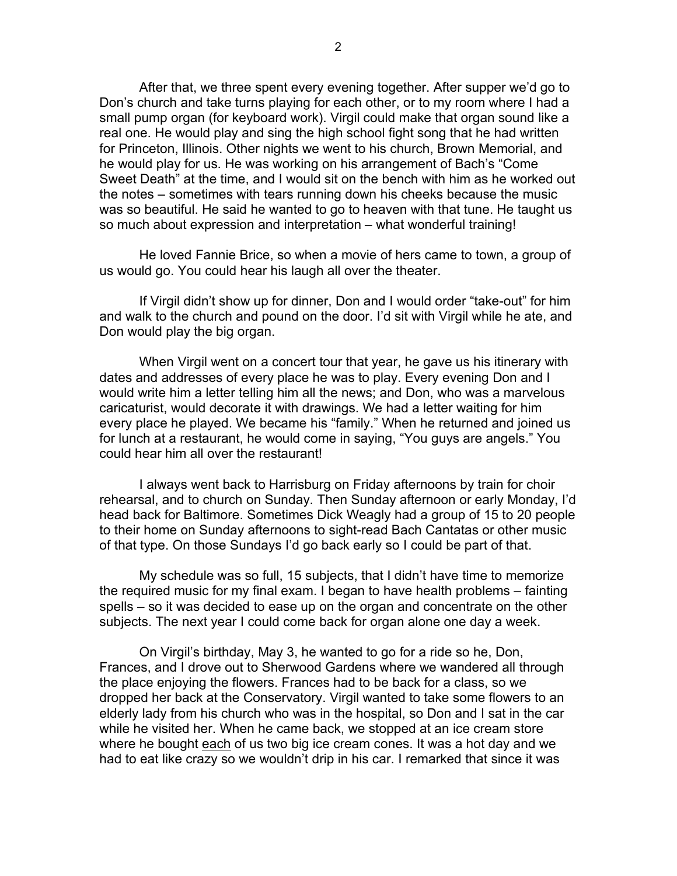After that, we three spent every evening together. After supper we'd go to Don's church and take turns playing for each other, or to my room where I had a small pump organ (for keyboard work). Virgil could make that organ sound like a real one. He would play and sing the high school fight song that he had written for Princeton, Illinois. Other nights we went to his church, Brown Memorial, and he would play for us. He was working on his arrangement of Bach's "Come Sweet Death" at the time, and I would sit on the bench with him as he worked out the notes – sometimes with tears running down his cheeks because the music was so beautiful. He said he wanted to go to heaven with that tune. He taught us so much about expression and interpretation – what wonderful training!

He loved Fannie Brice, so when a movie of hers came to town, a group of us would go. You could hear his laugh all over the theater.

If Virgil didn't show up for dinner, Don and I would order "take-out" for him and walk to the church and pound on the door. I'd sit with Virgil while he ate, and Don would play the big organ.

When Virgil went on a concert tour that year, he gave us his itinerary with dates and addresses of every place he was to play. Every evening Don and I would write him a letter telling him all the news; and Don, who was a marvelous caricaturist, would decorate it with drawings. We had a letter waiting for him every place he played. We became his "family." When he returned and joined us for lunch at a restaurant, he would come in saying, "You guys are angels." You could hear him all over the restaurant!

I always went back to Harrisburg on Friday afternoons by train for choir rehearsal, and to church on Sunday. Then Sunday afternoon or early Monday, I'd head back for Baltimore. Sometimes Dick Weagly had a group of 15 to 20 people to their home on Sunday afternoons to sight-read Bach Cantatas or other music of that type. On those Sundays I'd go back early so I could be part of that.

My schedule was so full, 15 subjects, that I didn't have time to memorize the required music for my final exam. I began to have health problems – fainting spells – so it was decided to ease up on the organ and concentrate on the other subjects. The next year I could come back for organ alone one day a week.

On Virgil's birthday, May 3, he wanted to go for a ride so he, Don, Frances, and I drove out to Sherwood Gardens where we wandered all through the place enjoying the flowers. Frances had to be back for a class, so we dropped her back at the Conservatory. Virgil wanted to take some flowers to an elderly lady from his church who was in the hospital, so Don and I sat in the car while he visited her. When he came back, we stopped at an ice cream store where he bought each of us two big ice cream cones. It was a hot day and we had to eat like crazy so we wouldn't drip in his car. I remarked that since it was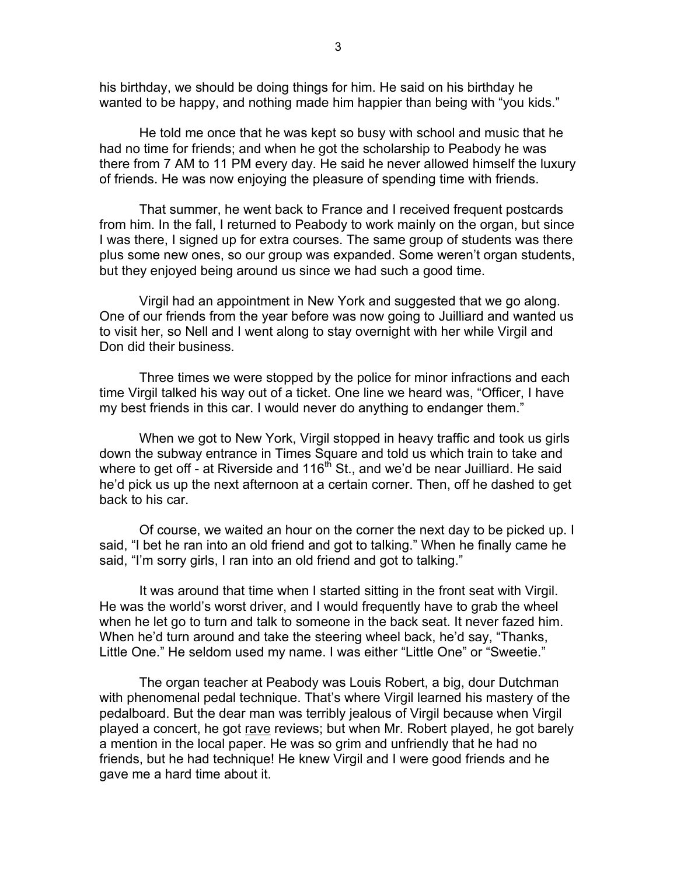his birthday, we should be doing things for him. He said on his birthday he wanted to be happy, and nothing made him happier than being with "you kids."

He told me once that he was kept so busy with school and music that he had no time for friends; and when he got the scholarship to Peabody he was there from 7 AM to 11 PM every day. He said he never allowed himself the luxury of friends. He was now enjoying the pleasure of spending time with friends.

That summer, he went back to France and I received frequent postcards from him. In the fall, I returned to Peabody to work mainly on the organ, but since I was there, I signed up for extra courses. The same group of students was there plus some new ones, so our group was expanded. Some weren't organ students, but they enjoyed being around us since we had such a good time.

Virgil had an appointment in New York and suggested that we go along. One of our friends from the year before was now going to Juilliard and wanted us to visit her, so Nell and I went along to stay overnight with her while Virgil and Don did their business.

Three times we were stopped by the police for minor infractions and each time Virgil talked his way out of a ticket. One line we heard was, "Officer, I have my best friends in this car. I would never do anything to endanger them."

When we got to New York, Virgil stopped in heavy traffic and took us girls down the subway entrance in Times Square and told us which train to take and where to get off - at Riverside and  $116<sup>th</sup>$  St., and we'd be near Juilliard. He said he'd pick us up the next afternoon at a certain corner. Then, off he dashed to get back to his car.

Of course, we waited an hour on the corner the next day to be picked up. I said, "I bet he ran into an old friend and got to talking." When he finally came he said, "I'm sorry girls, I ran into an old friend and got to talking."

It was around that time when I started sitting in the front seat with Virgil. He was the world's worst driver, and I would frequently have to grab the wheel when he let go to turn and talk to someone in the back seat. It never fazed him. When he'd turn around and take the steering wheel back, he'd say, "Thanks, Little One." He seldom used my name. I was either "Little One" or "Sweetie."

The organ teacher at Peabody was Louis Robert, a big, dour Dutchman with phenomenal pedal technique. That's where Virgil learned his mastery of the pedalboard. But the dear man was terribly jealous of Virgil because when Virgil played a concert, he got rave reviews; but when Mr. Robert played, he got barely a mention in the local paper. He was so grim and unfriendly that he had no friends, but he had technique! He knew Virgil and I were good friends and he gave me a hard time about it.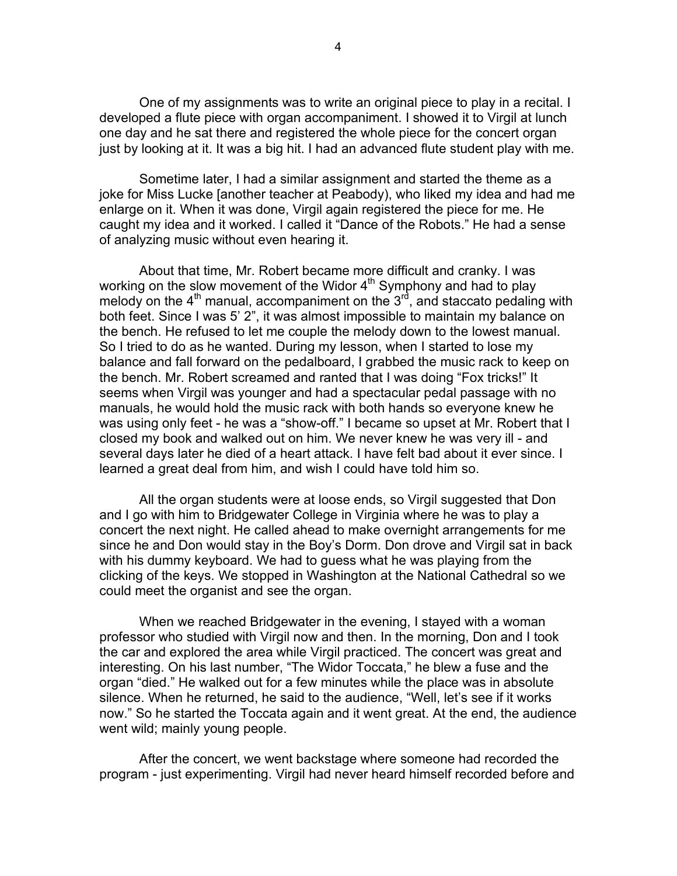One of my assignments was to write an original piece to play in a recital. I developed a flute piece with organ accompaniment. I showed it to Virgil at lunch one day and he sat there and registered the whole piece for the concert organ just by looking at it. It was a big hit. I had an advanced flute student play with me.

Sometime later, I had a similar assignment and started the theme as a joke for Miss Lucke [another teacher at Peabody), who liked my idea and had me enlarge on it. When it was done, Virgil again registered the piece for me. He caught my idea and it worked. I called it "Dance of the Robots." He had a sense of analyzing music without even hearing it.

About that time, Mr. Robert became more difficult and cranky. I was working on the slow movement of the Widor  $4<sup>th</sup>$  Symphony and had to play melody on the  $4<sup>th</sup>$  manual, accompaniment on the  $3<sup>rd</sup>$ , and staccato pedaling with both feet. Since I was 5' 2", it was almost impossible to maintain my balance on the bench. He refused to let me couple the melody down to the lowest manual. So I tried to do as he wanted. During my lesson, when I started to lose my balance and fall forward on the pedalboard, I grabbed the music rack to keep on the bench. Mr. Robert screamed and ranted that I was doing "Fox tricks!" It seems when Virgil was younger and had a spectacular pedal passage with no manuals, he would hold the music rack with both hands so everyone knew he was using only feet - he was a "show-off." I became so upset at Mr. Robert that I closed my book and walked out on him. We never knew he was very ill - and several days later he died of a heart attack. I have felt bad about it ever since. I learned a great deal from him, and wish I could have told him so.

All the organ students were at loose ends, so Virgil suggested that Don and I go with him to Bridgewater College in Virginia where he was to play a concert the next night. He called ahead to make overnight arrangements for me since he and Don would stay in the Boy's Dorm. Don drove and Virgil sat in back with his dummy keyboard. We had to guess what he was playing from the clicking of the keys. We stopped in Washington at the National Cathedral so we could meet the organist and see the organ.

When we reached Bridgewater in the evening, I stayed with a woman professor who studied with Virgil now and then. In the morning, Don and I took the car and explored the area while Virgil practiced. The concert was great and interesting. On his last number, "The Widor Toccata," he blew a fuse and the organ "died." He walked out for a few minutes while the place was in absolute silence. When he returned, he said to the audience, "Well, let's see if it works now." So he started the Toccata again and it went great. At the end, the audience went wild; mainly young people.

After the concert, we went backstage where someone had recorded the program - just experimenting. Virgil had never heard himself recorded before and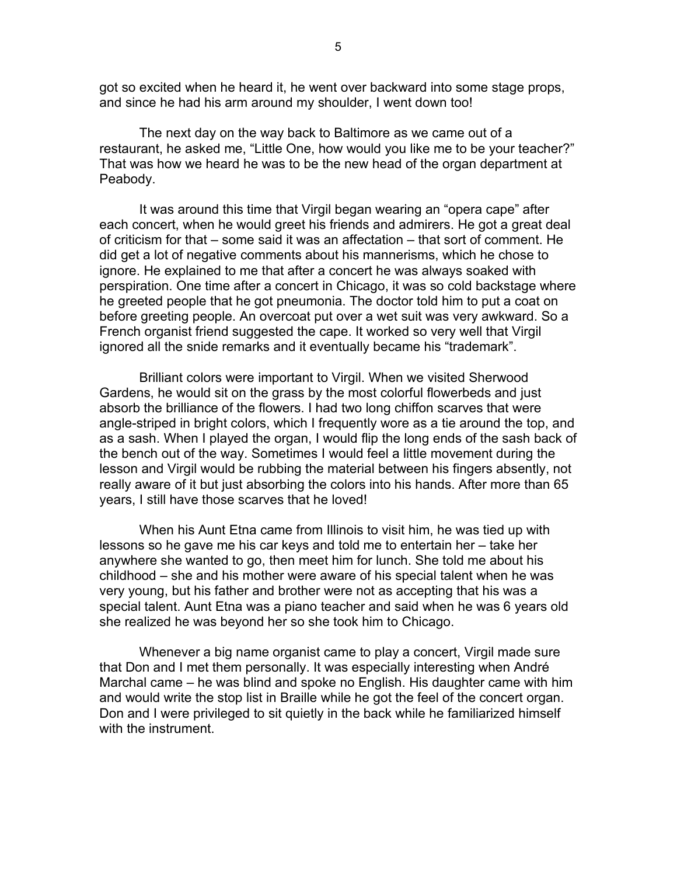got so excited when he heard it, he went over backward into some stage props, and since he had his arm around my shoulder, I went down too!

The next day on the way back to Baltimore as we came out of a restaurant, he asked me, "Little One, how would you like me to be your teacher?" That was how we heard he was to be the new head of the organ department at Peabody.

It was around this time that Virgil began wearing an "opera cape" after each concert, when he would greet his friends and admirers. He got a great deal of criticism for that – some said it was an affectation – that sort of comment. He did get a lot of negative comments about his mannerisms, which he chose to ignore. He explained to me that after a concert he was always soaked with perspiration. One time after a concert in Chicago, it was so cold backstage where he greeted people that he got pneumonia. The doctor told him to put a coat on before greeting people. An overcoat put over a wet suit was very awkward. So a French organist friend suggested the cape. It worked so very well that Virgil ignored all the snide remarks and it eventually became his "trademark".

Brilliant colors were important to Virgil. When we visited Sherwood Gardens, he would sit on the grass by the most colorful flowerbeds and just absorb the brilliance of the flowers. I had two long chiffon scarves that were angle-striped in bright colors, which I frequently wore as a tie around the top, and as a sash. When I played the organ, I would flip the long ends of the sash back of the bench out of the way. Sometimes I would feel a little movement during the lesson and Virgil would be rubbing the material between his fingers absently, not really aware of it but just absorbing the colors into his hands. After more than 65 years, I still have those scarves that he loved!

When his Aunt Etna came from Illinois to visit him, he was tied up with lessons so he gave me his car keys and told me to entertain her – take her anywhere she wanted to go, then meet him for lunch. She told me about his childhood – she and his mother were aware of his special talent when he was very young, but his father and brother were not as accepting that his was a special talent. Aunt Etna was a piano teacher and said when he was 6 years old she realized he was beyond her so she took him to Chicago.

Whenever a big name organist came to play a concert, Virgil made sure that Don and I met them personally. It was especially interesting when André Marchal came – he was blind and spoke no English. His daughter came with him and would write the stop list in Braille while he got the feel of the concert organ. Don and I were privileged to sit quietly in the back while he familiarized himself with the instrument.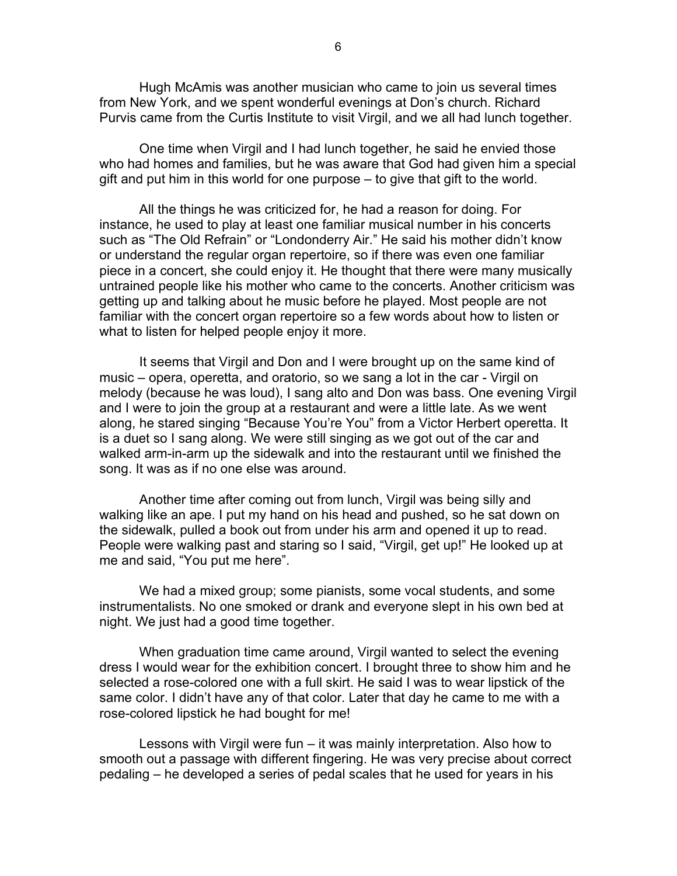Hugh McAmis was another musician who came to join us several times from New York, and we spent wonderful evenings at Don's church. Richard Purvis came from the Curtis Institute to visit Virgil, and we all had lunch together.

One time when Virgil and I had lunch together, he said he envied those who had homes and families, but he was aware that God had given him a special gift and put him in this world for one purpose – to give that gift to the world.

All the things he was criticized for, he had a reason for doing. For instance, he used to play at least one familiar musical number in his concerts such as "The Old Refrain" or "Londonderry Air." He said his mother didn't know or understand the regular organ repertoire, so if there was even one familiar piece in a concert, she could enjoy it. He thought that there were many musically untrained people like his mother who came to the concerts. Another criticism was getting up and talking about he music before he played. Most people are not familiar with the concert organ repertoire so a few words about how to listen or what to listen for helped people enjoy it more.

It seems that Virgil and Don and I were brought up on the same kind of music – opera, operetta, and oratorio, so we sang a lot in the car - Virgil on melody (because he was loud), I sang alto and Don was bass. One evening Virgil and I were to join the group at a restaurant and were a little late. As we went along, he stared singing "Because You're You" from a Victor Herbert operetta. It is a duet so I sang along. We were still singing as we got out of the car and walked arm-in-arm up the sidewalk and into the restaurant until we finished the song. It was as if no one else was around.

Another time after coming out from lunch, Virgil was being silly and walking like an ape. I put my hand on his head and pushed, so he sat down on the sidewalk, pulled a book out from under his arm and opened it up to read. People were walking past and staring so I said, "Virgil, get up!" He looked up at me and said, "You put me here".

We had a mixed group; some pianists, some vocal students, and some instrumentalists. No one smoked or drank and everyone slept in his own bed at night. We just had a good time together.

When graduation time came around, Virgil wanted to select the evening dress I would wear for the exhibition concert. I brought three to show him and he selected a rose-colored one with a full skirt. He said I was to wear lipstick of the same color. I didn't have any of that color. Later that day he came to me with a rose-colored lipstick he had bought for me!

Lessons with Virgil were fun – it was mainly interpretation. Also how to smooth out a passage with different fingering. He was very precise about correct pedaling – he developed a series of pedal scales that he used for years in his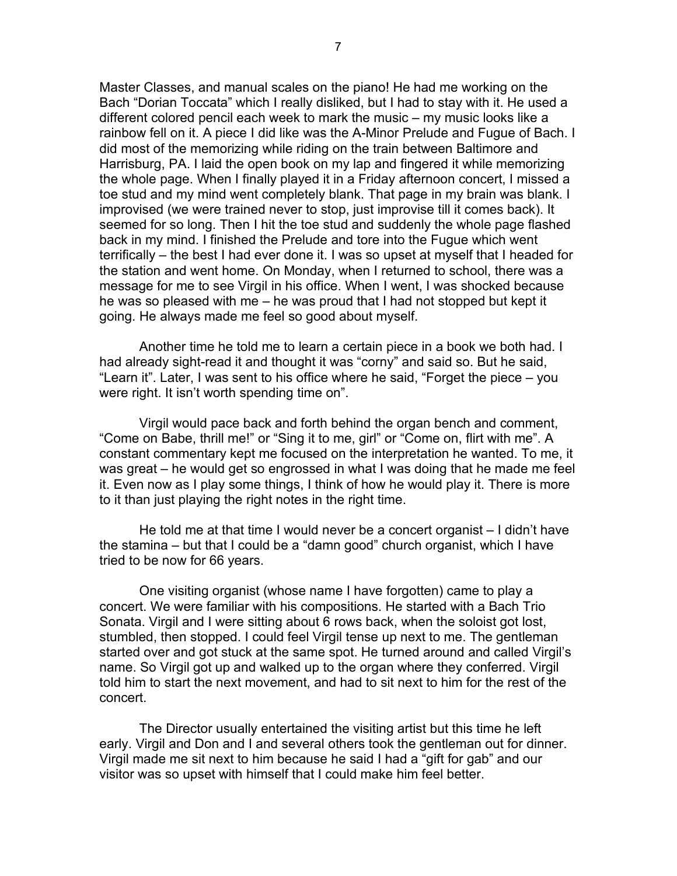Master Classes, and manual scales on the piano! He had me working on the Bach "Dorian Toccata" which I really disliked, but I had to stay with it. He used a different colored pencil each week to mark the music – my music looks like a rainbow fell on it. A piece I did like was the A-Minor Prelude and Fugue of Bach. I did most of the memorizing while riding on the train between Baltimore and Harrisburg, PA. I laid the open book on my lap and fingered it while memorizing the whole page. When I finally played it in a Friday afternoon concert, I missed a toe stud and my mind went completely blank. That page in my brain was blank. I improvised (we were trained never to stop, just improvise till it comes back). It seemed for so long. Then I hit the toe stud and suddenly the whole page flashed back in my mind. I finished the Prelude and tore into the Fugue which went terrifically – the best I had ever done it. I was so upset at myself that I headed for the station and went home. On Monday, when I returned to school, there was a message for me to see Virgil in his office. When I went, I was shocked because he was so pleased with me – he was proud that I had not stopped but kept it going. He always made me feel so good about myself.

Another time he told me to learn a certain piece in a book we both had. I had already sight-read it and thought it was "corny" and said so. But he said, "Learn it". Later, I was sent to his office where he said, "Forget the piece – you were right. It isn't worth spending time on".

Virgil would pace back and forth behind the organ bench and comment, "Come on Babe, thrill me!" or "Sing it to me, girl" or "Come on, flirt with me". A constant commentary kept me focused on the interpretation he wanted. To me, it was great – he would get so engrossed in what I was doing that he made me feel it. Even now as I play some things, I think of how he would play it. There is more to it than just playing the right notes in the right time.

He told me at that time I would never be a concert organist – I didn't have the stamina – but that I could be a "damn good" church organist, which I have tried to be now for 66 years.

One visiting organist (whose name I have forgotten) came to play a concert. We were familiar with his compositions. He started with a Bach Trio Sonata. Virgil and I were sitting about 6 rows back, when the soloist got lost, stumbled, then stopped. I could feel Virgil tense up next to me. The gentleman started over and got stuck at the same spot. He turned around and called Virgil's name. So Virgil got up and walked up to the organ where they conferred. Virgil told him to start the next movement, and had to sit next to him for the rest of the concert.

The Director usually entertained the visiting artist but this time he left early. Virgil and Don and I and several others took the gentleman out for dinner. Virgil made me sit next to him because he said I had a "gift for gab" and our visitor was so upset with himself that I could make him feel better.